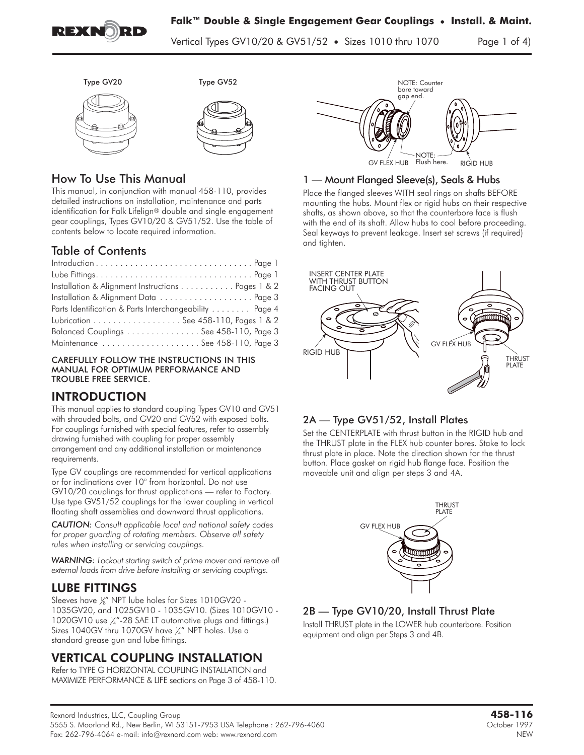

Vertical Types GV10/20 & GV51/52 **•** Sizes 1010 thru 1070 Page 1 of 4)





# How To Use This Manual

This manual, in conjunction with manual 458-110, provides detailed instructions on installation, maintenance and parts identification for Falk Lifelign® double and single engagement gear couplings, Types GV10/20 & GV51/52. Use the table of contents below to locate required information.

# Table of Contents

| Installation & Alignment Instructions Pages 1 & 2      |  |
|--------------------------------------------------------|--|
| Installation & Alignment Data  Page 3                  |  |
| Parts Identification & Parts Interchangeability Page 4 |  |
| Lubrication See 458-110, Pages 1 & 2                   |  |
| Balanced Couplings See 458-110, Page 3                 |  |
| Maintenance See 458-110, Page 3                        |  |

#### CAREFULLY FOLLOW THE INSTRUCTIONS IN THIS MANUAL FOR OPTIMUM PERFORMANCE AND TROUBLE FREE SERVICE.

This manual applies to standard coupling Types GV10 and GV51 with shrouded bolts, and GV20 and GV52 with exposed bolts. For couplings furnished with special features, refer to assembly drawing furnished with coupling for proper assembly arrangement and any additional installation or maintenance requirements.

Type GV couplings are recommended for vertical applications or for inclinations over 10° from horizontal. Do not use GV10/20 couplings for thrust applications — refer to Factory. Use type GV51/52 couplings for the lower coupling in vertical floating shaft assemblies and downward thrust applications.

*CAUTION: Consult applicable local and national safety codes for proper guarding of rotating members. Observe all safety rules when installing or servicing couplings.*

*WARNING: Lockout starting switch of prime mover and remove all external loads from drive before installing or servicing couplings.*

# **LUBE FITTINGS**

<u>LUBE FITTING</u><br>Sleeves have 1/<sub>8</sub>" NPT lube holes for Sizes 1010GV20 -1035GV20, and 1025GV10 - 1035GV10. (Sizes 1010GV10 - 1020GV10 use  $\frac{1}{4}$  -28 SAE LT automotive plugs and fittings.) Sizes 1040GV thru 1070GV have  $\frac{\gamma}{4}$  NPT holes. Use a standard grease gun and lube fittings.

# **VERTICAL COUPLING INSTALLATION**

Refer to TYPE G HORIZONTAL COUPLING INSTALLATION and MAXIMIZE PERFORMANCE & LIFE sections on Page 3 of 458-110.



# 1 — Mount Flanged Sleeve(s), Seals & Hubs

Place the flanged sleeves WITH seal rings on shafts BEFORE mounting the hubs. Mount flex or rigid hubs on their respective shafts, as shown above, so that the counterbore face is flush with the end of its shaft. Allow hubs to cool before proceeding. Seal keyways to prevent leakage. Insert set screws (if required) and tighten.



# 2A — Type GV51/52, Install Plates

Set the CENTERPLATE with thrust button in the RIGID hub and the THRUST plate in the FLEX hub counter bores. Stake to lock thrust plate in place. Note the direction shown for the thrust button. Place gasket on rigid hub flange face. Position the moveable unit and align per steps 3 and 4A.



# 2B — Type GV10/20, Install Thrust Plate

Install THRUST plate in the LOWER hub counterbore. Position equipment and align per Steps 3 and 4B.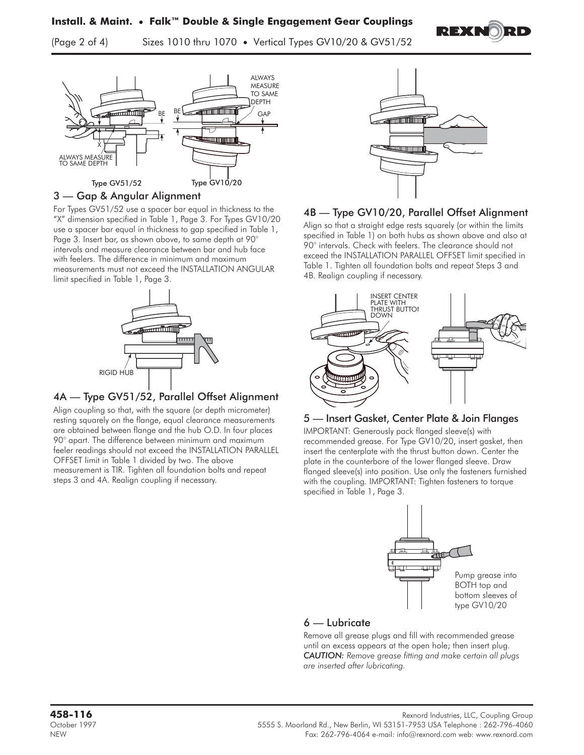**Install. & Maint. • Falk™ Double & Single Engagement Gear Couplings** (Page 2 of 4) Sizes 1010 thru 1070 **•** Vertical Types GV10/20 & GV51/52



#### 3 — Gap & Angular Alignment

For Types GV51/52 use a spacer bar equal in thickness to the "X" dimension specified in Table 1, Page 3. For Types GV10/20 use a spacer bar equal in thickness to gap specified in Table 1, Page 3. Insert bar, as shown above, to same depth at 90° intervals and measure clearance between bar and hub face with feelers. The difference in minimum and maximum measurements must not exceed the INSTALLATION ANGULAR limit specified in Table 1, Page 3.



### 4A — Type GV51/52, Parallel Offset Alignment

Align coupling so that, with the square (or depth micrometer) resting squarely on the flange, equal clearance measurements are obtained between flange and the hub O.D. In four places 90° apart. The difference between minimum and maximum feeler readings should not exceed the INSTALLATION PARALLEL OFFSET limit in Table 1 divided by two. The above measurement is TIR. Tighten all foundation bolts and repeat steps 3 and 4A. Realign coupling if necessary.



REXN

# 4B — Type GV10/20, Parallel Offset Alignment

Align so that a straight edge rests squarely (or within the limits specified in Table 1) on both hubs as shown above and also at 90° intervals. Check with feelers. The clearance should not exceed the INSTALLATION PARALLEL OFFSET limit specified in Table 1. Tighten all foundation bolts and repeat Steps 3 and 4B. Realign coupling if necessary.



### 5 — Insert Gasket, Center Plate & Join Flanges

IMPORTANT: Generously pack flanged sleeve(s) with recommended grease. For Type GV10/20, insert gasket, then insert the centerplate with the thrust button down. Center the plate in the counterbore of the lower flanged sleeve. Draw flanged sleeve(s) into position. Use only the fasteners furnished with the coupling. IMPORTANT: Tighten fasteners to torque specified in Table 1, Page 3.



### 6 — Lubricate

Remove all grease plugs and fill with recommended grease until an excess appears at the open hole; then insert plug. *CAUTION: Remove grease fitting and make certain all plugs are inserted after lubricating.*

Rexnord Industries, LLC, Coupling Group<br>1997 - 7962-056 S. Moorland Rd., New Berlin, WI 53151-7953 USA Telephone : 262-796-4060 State Porto NEW Fax: 262-796-4064 e-mail: info@rexnord.com web: www.rexnord.com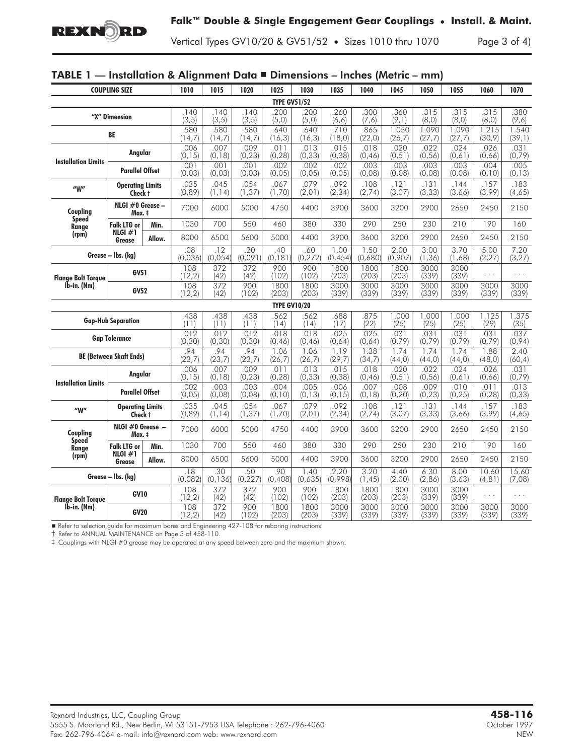

Vertical Types GV10/20 & GV51/52 **•** Sizes 1010 thru 1070 Page 3 of 4)

# TABLE 1 — Installation & Alignment Data -

| <b>COUPLING SIZE</b>                       |                                    | 1010                        | 1015            | 1020            | 1025                    | 1030                | 1035             | 1040            | 1045             | 1050            | 1055             | 1060             | 1070                 |                 |
|--------------------------------------------|------------------------------------|-----------------------------|-----------------|-----------------|-------------------------|---------------------|------------------|-----------------|------------------|-----------------|------------------|------------------|----------------------|-----------------|
| <b>TYPE GV51/52</b>                        |                                    |                             |                 |                 |                         |                     |                  |                 |                  |                 |                  |                  |                      |                 |
| "X" Dimension                              |                                    | 140<br>(3, 5)               | 140<br>(3, 5)   | .140<br>(3, 5)  | .200<br>(5, 0)          | .200<br>(5, 0)      | .260<br>(6, 6)   | .300<br>(7, 6)  | .360<br>(9,1)    | .315<br>(8, 0)  | .315<br>(0, 8)   | .315<br>(8, 0)   | .380<br>(9, 6)       |                 |
| BE                                         |                                    | .580<br>(14,7)              | .580<br>(14,7)  | .580<br>(14,7)  | .640<br>(16, 3)         | .640<br>(16,3)      | .710<br>(18, 0)  | .865<br>(22,0)  | 1.050<br>(26, 7) | 1.090<br>(27,7) | 1.090<br>(27, 7) | 1.215<br>(30, 9) | 1.540<br>(39,1)      |                 |
| <b>Installation Limits</b>                 | Angular                            |                             | .006<br>(0, 15) | .007<br>(0, 18) | .009<br>(0, 23)         | .011<br>(0, 28)     | .013<br>(0, 33)  | .015<br>(0, 38) | .018<br>(0, 46)  | .020<br>(0, 51) | .022<br>(0, 56)  | .024<br>(0,61)   | .026<br>(0,66)       | .031<br>(0, 79) |
|                                            | <b>Parallel Offset</b>             |                             | .001<br>(0, 03) | .001<br>(0, 03) | .001<br>(0, 03)         | .002<br>(0,05)      | .002<br>(0, 05)  | .002<br>(0, 05) | .003<br>(0,08)   | .003<br>(0,08)  | .003<br>(0,08)   | .003<br>(0,08)   | .004<br>(0, 10)      | .005<br>(0, 13) |
| $^{\prime\prime}$ W $^{\prime\prime}$      | <b>Operating Limits</b><br>Check † |                             | .035<br>(0,89)  | .045<br>(1, 14) | .054<br>(1, 37)         | .067<br>(1,70)      | .079<br>(2, 01)  | .092<br>(2, 34) | .108<br>(2,74)   | .121<br>(3,07)  | .131<br>(3, 33)  | .144<br>(3,66)   | .157<br>(3,99)       | .183<br>(4,65)  |
| Coupling<br><b>Speed</b><br>Range<br>(rpm) | NLGI $#0$ Grease $-$<br>Max. ‡     |                             | 7000            | 6000            | 5000                    | 4750                | 4400             | 3900            | 3600             | 3200            | 2900             | 2650             | 2450                 | 2150            |
|                                            | <b>Falk LTG or</b>                 | Min.                        | 1030            | 700             | 550                     | 460                 | 380              | 330             | 290              | 250             | 230              | 210              | 190                  | 160             |
|                                            | NLGI $#1$<br>Grease                | Allow.                      | 8000            | 6500            | 5600                    | 5000                | 4400             | 3900            | 3600             | 3200            | 2900             | 2650             | 2450                 | 2150            |
| Grease - Ibs. (kg)                         |                                    | .08<br>(0,036)              | .12<br>(0,054)  | .20<br>(0,091)  | .40<br>(0, 181)         | .60<br>(0, 272)     | 1.00<br>(0, 454) | 1.50<br>(0,680) | 2.00<br>(0.907)  | 3.00<br>(1, 36) | 3.70<br>(1,68)   | 5.00<br>(2, 27)  | 7.20<br>(3, 27)      |                 |
| <b>Flange Bolt Torque</b><br>lb-in. (Nm)   | <b>GV51</b>                        |                             | 108<br>(12,2)   | 372<br>(42)     | 372<br>(42)             | 900<br>(102)        | 900<br>(102)     | 1800<br>(203)   | 1800<br>(203)    | 1800<br>(203)   | 3000<br>(339)    | 3000<br>(339)    | .                    | .               |
|                                            | <b>GV52</b>                        |                             | 108<br>(12,2)   | 372<br>(42)     | 900<br>(102)            | 1800<br>(203)       | 1800<br>(203)    | 3000<br>(339)   | 3000<br>(339)    | 3000<br>(339)   | 3000<br>(339)    | 3000<br>(339)    | 3000<br>(339)        | 3000<br>(339)   |
|                                            |                                    |                             |                 |                 |                         | <b>TYPE GV10/20</b> |                  |                 |                  |                 |                  |                  |                      |                 |
| <b>Gap-Hub Separation</b>                  |                                    | .438<br>(11)                | .438<br>(11)    | .438<br>(11)    | .562<br>(14)            | .562<br>(14)        | .688<br>(17)     | .875<br>(22)    | 1.000<br>(25)    | 1.000<br>(25)   | 1.000<br>(25)    | 1.125<br>(29)    | 1.375<br>(35)        |                 |
| <b>Gap Tolerance</b>                       |                                    |                             | .012<br>(0, 30) | .012<br>(0, 30) | .012<br>(0, 30)         | .018<br>(0, 46)     | .018<br>(0, 46)  | .025<br>(0,64)  | .025<br>(0,64)   | .031<br>(0, 79) | .031<br>(0, 79)  | .031<br>(0, 79)  | .031<br>(0, 79)      | .037<br>(0, 94) |
| <b>BE (Between Shaft Ends)</b>             |                                    | .94<br>(23,7)               | 94<br>(23,7)    | .94<br>(23,7)   | 1.06<br>(26,7)          | 1.06<br>(26,7)      | 1.19<br>(29,7)   | 1.38<br>(34,7)  | 1.74<br>(44, 0)  | 1.74<br>(44, 0) | 1.74<br>(44, 0)  | 1.88<br>(48, 0)  | 2.40<br>(60, 4)      |                 |
| <b>Installation Limits</b>                 | Angular                            |                             | .006<br>(0, 15) | .007<br>(0, 18) | .009<br>(0, 23)         | .011<br>(0, 28)     | .013<br>(0, 33)  | .015<br>(0, 38) | .018<br>(0, 46)  | .020<br>(0, 51) | .022<br>(0, 56)  | .024<br>(0,61)   | .026<br>(0,66)       | .031<br>(0, 79) |
|                                            | <b>Parallel Offset</b>             |                             | .002<br>(0, 05) | .003<br>(0,08)  | .003<br>(0,08)          | .004<br>(0, 10)     | .005<br>(0, 13)  | .006<br>(0, 15) | .007<br>(0, 18)  | 800.<br>(0, 20) | .009<br>(0, 23)  | .010<br>(0, 25)  | .011<br>(0, 28)      | .013<br>(0, 33) |
| $^{\prime\prime}$ W $^{\prime\prime}$      | <b>Operating Limits</b><br>Check t |                             | .035<br>(0, 89) | .045<br>(1, 14) | .054<br>(1, 37)         | .067<br>(1,70)      | .079<br>(2, 01)  | .092<br>(2, 34) | .108<br>(2,74)   | .121<br>(3,07)  | .131<br>(3, 33)  | .144<br>(3,66)   | .157<br>(3,99)       | .183<br>(4,65)  |
| Coupling<br><b>Speed</b><br>Range<br>(rpm) | NLGI $#0$ Grease $-$<br>Max. ‡     |                             | 7000            | 6000            | 5000                    | 4750                | 4400             | 3900            | 3600             | 3200            | 2900             | 2650             | 2450                 | 2150            |
|                                            | Falk LTG or                        | Min.                        | 1030            | 700             | 550                     | 460                 | 380              | 330             | 290              | 250             | 230              | 210              | 190                  | 160             |
|                                            | NLGI $#1$<br>Grease                | Allow.                      | 8000            | 6500            | 5600                    | 5000                | 4400             | 3900            | 3600             | 3200            | 2900             | 2650             | 2450                 | 2150            |
| Grease - Ibs. (kg)                         |                                    | $\overline{.18}$<br>(0.082) | .30<br>(0, 136) | .50<br>(0, 227) | .90<br>(0,408)          | 1.40<br>(0,635)     | 2.20<br>(0,998)  | 3.20<br>(1, 45) | 4.40<br>(2,00)   | 6.30<br>(2,86)  | 8.00<br>(3,63)   | 10.60<br>(4, 81) | 15.60<br>(7,08)      |                 |
| <b>Flange Bolt Torque</b><br>Ib-in. (Nm)   | <b>GV10</b>                        |                             | 108<br>(12,2)   | 372<br>(42)     | $\frac{372}{ }$<br>(42) | 900<br>(102)        | 900<br>(102)     | 1800<br>(203)   | 1800<br>(203)    | 1800<br>(203)   | 3000<br>(339)    | 3000<br>(339)    | $\sim$ $\sim$ $\sim$ | .               |
|                                            | <b>GV20</b>                        |                             | 108<br>(12, 2)  | 372<br>(42)     | 900<br>(102)            | 1800<br>(203)       | 1800<br>(203)    | 3000<br>(339)   | 3000<br>(339)    | 3000<br>(339)   | 3000<br>(339)    | 3000<br>(339)    | 3000<br>(339)        | 3000<br>(339)   |

Refer to selection guide for maximum bores and Engineering 427-108 for reboring instructions.

† Refer to ANNUAL MAINTENANCE on Page 3 of 458-110.

‡ Couplings with NLGI #0 grease may be operated at any speed between zero and the maximum shown.